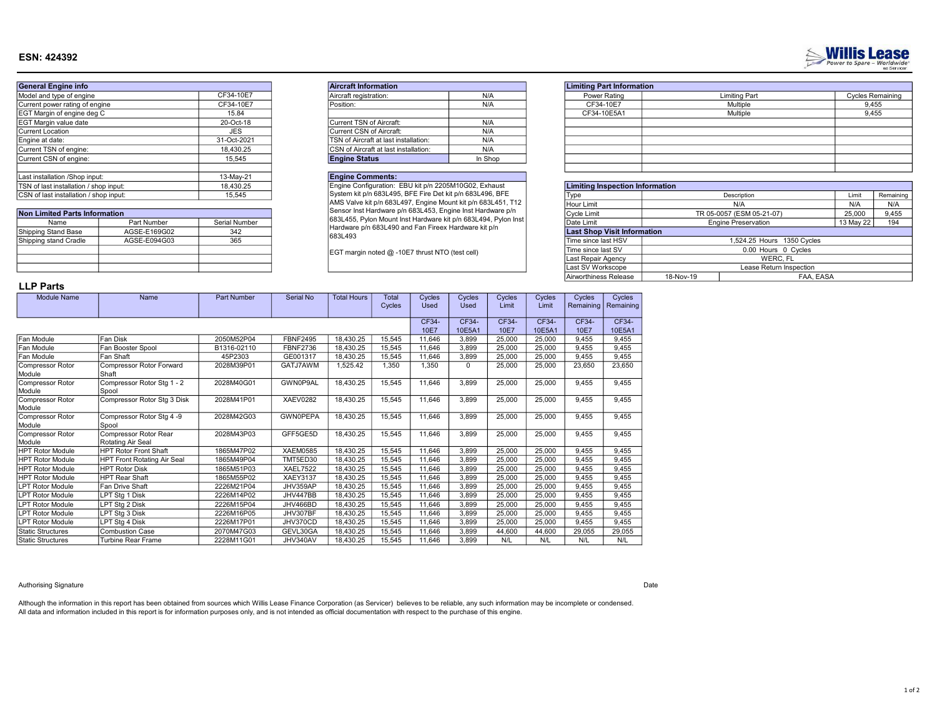## ESN: 424392



| <b>Non Limited Parts Information</b> |              |               |  |  |  |  |  |  |  |
|--------------------------------------|--------------|---------------|--|--|--|--|--|--|--|
| Name                                 | Part Number  | Serial Number |  |  |  |  |  |  |  |
| Shipping Stand Base                  | AGSE-E169G02 | 342           |  |  |  |  |  |  |  |
| Shipping stand Cradle                | AGSE-E094G03 | 365           |  |  |  |  |  |  |  |
|                                      |              |               |  |  |  |  |  |  |  |
|                                      |              |               |  |  |  |  |  |  |  |
|                                      |              |               |  |  |  |  |  |  |  |

| <b>Aircraft Information</b>           |         | <b>Limiting Part Information</b> |
|---------------------------------------|---------|----------------------------------|
| Aircraft registration:                | N/A     | Power Rating                     |
| Position:                             | N/A     | CF34-10E7                        |
|                                       |         | CF34-10E5A1                      |
| Current TSN of Aircraft:              | N/A     |                                  |
| Current CSN of Aircraft:              | N/A     |                                  |
| TSN of Aircraft at last installation: | N/A     |                                  |
| CSN of Aircraft at last installation: | N/A     |                                  |
| <b>Engine Status</b>                  | In Shop |                                  |

## Engine Comments:

|      | <b>Limiting Part Information</b> |                      |                         |
|------|----------------------------------|----------------------|-------------------------|
| N/A  | Power Rating                     | <b>Limiting Part</b> | <b>Cycles Remaining</b> |
| N/A  | CF34-10E7                        | Multiple             | 9,455                   |
|      | CF34-10E5A1                      | Multiple             | 9,455                   |
| N/A  |                                  |                      |                         |
| N/A  |                                  |                      |                         |
| N/A  |                                  |                      |                         |
| N/A  |                                  |                      |                         |
| Shop |                                  |                      |                         |
|      |                                  |                      |                         |

**Willis Lease** 

| TSN of last installation / shop input: |              | 18,430.25     |  | Engine Configuration: EBU kit p/n 2205M10G02, Exhaust                                                                  |                     | <b>Limiting Inspection Information</b> |                     |                            |           |           |
|----------------------------------------|--------------|---------------|--|------------------------------------------------------------------------------------------------------------------------|---------------------|----------------------------------------|---------------------|----------------------------|-----------|-----------|
| CSN of last installation / shop input: |              | 15,545        |  | System kit p/n 683L495, BFE Fire Det kit p/n 683L496, BFE                                                              |                     | Type                                   |                     | Description                | Limit     | Remaining |
|                                        |              |               |  | AMS Valve kit p/n 683L497, Engine Mount kit p/n 683L451, T12                                                           |                     | Hour Limit                             |                     | N/A                        | N/A       | N/A       |
| <b>Non Limited Parts Information</b>   |              |               |  | Sensor Inst Hardware p/n 683L453, Engine Inst Hardware p/n                                                             |                     | Cvcle Limit                            |                     | TR 05-0057 (ESM 05-21-07)  | 25,000    | 9,455     |
| Name                                   | Part Number  | Serial Number |  | 683L455, Pylon Mount Inst Hardware kit p/n 683L494, Pylon Inst<br>Hardware p/n 683L490 and Fan Fireex Hardware kit p/n |                     | Date Limit                             |                     | <b>Engine Preservation</b> | 13 May 22 | 194       |
| Shipping Stand Base                    | AGSE-E169G02 | 342           |  |                                                                                                                        |                     | <b>Last Shop Visit Information</b>     |                     |                            |           |           |
| Shipping stand Cradle                  | AGSE-E094G03 | 365           |  | 683L493<br>EGT margin noted @ -10E7 thrust NTO (test cell)                                                             | Time since last HSV | 1,524.25 Hours 1350 Cycles             |                     |                            |           |           |
|                                        |              |               |  |                                                                                                                        |                     | <sup>I</sup> Time since last SV        | 0.00 Hours 0 Cycles |                            |           |           |
|                                        |              |               |  |                                                                                                                        |                     | Last Repair Agency                     |                     | WERC, FL                   |           |           |
|                                        |              |               |  |                                                                                                                        |                     | Last SV Workscope                      |                     | Lease Return Inspection    |           |           |
|                                        |              |               |  |                                                                                                                        |                     | Airworthiness Release                  | 18-Nov-19           | FAA, EASA                  |           |           |
|                                        |              |               |  |                                                                                                                        |                     |                                        |                     |                            |           |           |

# LLP Parts

| <b>Module Name</b>       | Name                         | <b>Part Number</b> | Serial No       | <b>Total Hours</b> | <b>Total</b> | Cycles      | Cycles      | Cycles | Cycles | Cycles    | Cycles    |
|--------------------------|------------------------------|--------------------|-----------------|--------------------|--------------|-------------|-------------|--------|--------|-----------|-----------|
|                          |                              |                    |                 |                    | Cycles       | <b>Used</b> | <b>Used</b> | Limit  | Limit  | Remaining | Remaining |
|                          |                              |                    |                 |                    |              |             |             |        |        |           |           |
|                          |                              |                    |                 |                    |              | CF34-       | CF34-       | CF34-  | CF34-  | CF34-     | CF34-     |
|                          |                              |                    |                 |                    |              | 10E7        | 10E5A1      | 10E7   | 10E5A1 | 10E7      | 10E5A1    |
| Fan Module               | Fan Disk                     | 2050M52P04         | <b>FBNF2495</b> | 18,430.25          | 15,545       | 11.646      | 3.899       | 25,000 | 25.000 | 9.455     | 9.455     |
| Fan Module               | Fan Booster Spool            | B1316-02110        | <b>FBNF2736</b> | 18.430.25          | 15,545       | 11.646      | 3.899       | 25.000 | 25.000 | 9.455     | 9,455     |
| Fan Module               | Fan Shaft                    | 45P2303            | GE001317        | 18.430.25          | 15.545       | 11.646      | 3.899       | 25,000 | 25,000 | 9.455     | 9,455     |
| Compressor Rotor         | Compressor Rotor Forward     | 2028M39P01         | GATJ7AWM        | 1.525.42           | 1,350        | 1,350       | 0           | 25,000 | 25,000 | 23,650    | 23,650    |
| Module                   | Shaft                        |                    |                 |                    |              |             |             |        |        |           |           |
| Compressor Rotor         | Compressor Rotor Stg 1 - 2   | 2028M40G01         | GWN0P9AL        | 18,430.25          | 15,545       | 11.646      | 3,899       | 25,000 | 25,000 | 9.455     | 9,455     |
| Module                   | Spool                        |                    |                 |                    |              |             |             |        |        |           |           |
| Compressor Rotor         | Compressor Rotor Stg 3 Disk  | 2028M41P01         | <b>XAEV0282</b> | 18,430.25          | 15,545       | 11,646      | 3,899       | 25,000 | 25,000 | 9,455     | 9,455     |
| Module                   |                              |                    |                 |                    |              |             |             |        |        |           |           |
| Compressor Rotor         | Compressor Rotor Stg 4 -9    | 2028M42G03         | <b>GWN0PEPA</b> | 18,430.25          | 15,545       | 11,646      | 3.899       | 25,000 | 25,000 | 9,455     | 9,455     |
| Module                   | Spool                        |                    |                 |                    |              |             |             |        |        |           |           |
| Compressor Rotor         | Compressor Rotor Rear        | 2028M43P03         | GFF5GE5D        | 18,430.25          | 15,545       | 11,646      | 3,899       | 25,000 | 25,000 | 9,455     | 9,455     |
| Module                   | Rotating Air Seal            |                    |                 |                    |              |             |             |        |        |           |           |
| <b>HPT Rotor Module</b>  | <b>HPT Rotor Front Shaft</b> | 1865M47P02         | <b>XAEM0585</b> | 18,430.25          | 15,545       | 11,646      | 3.899       | 25,000 | 25,000 | 9.455     | 9,455     |
| <b>HPT Rotor Module</b>  | HPT Front Rotating Air Seal  | 1865M49P04         | TMT5ED30        | 18.430.25          | 15,545       | 11.646      | 3.899       | 25,000 | 25,000 | 9.455     | 9,455     |
| <b>HPT Rotor Module</b>  | <b>HPT Rotor Disk</b>        | 1865M51P03         | <b>XAEL7522</b> | 18.430.25          | 15,545       | 11.646      | 3.899       | 25,000 | 25,000 | 9,455     | 9,455     |
| <b>HPT Rotor Module</b>  | <b>HPT Rear Shaft</b>        | 1865M55P02         | <b>XAEY3137</b> | 18.430.25          | 15,545       | 11.646      | 3.899       | 25.000 | 25,000 | 9.455     | 9,455     |
| <b>LPT Rotor Module</b>  | Fan Drive Shaft              | 2226M21P04         | JHV359AP        | 18,430.25          | 15,545       | 11.646      | 3,899       | 25,000 | 25,000 | 9,455     | 9,455     |
| <b>LPT Rotor Module</b>  | LPT Stg 1 Disk               | 2226M14P02         | JHV447BB        | 18,430.25          | 15,545       | 11,646      | 3,899       | 25,000 | 25,000 | 9,455     | 9,455     |
| <b>LPT Rotor Module</b>  | LPT Stg 2 Disk               | 2226M15P04         | JHV466BD        | 18.430.25          | 15,545       | 11.646      | 3.899       | 25,000 | 25.000 | 9.455     | 9,455     |
| <b>LPT Rotor Module</b>  | LPT Stg 3 Disk               | 2226M16P05         | JHV307BF        | 18.430.25          | 15,545       | 11.646      | 3,899       | 25,000 | 25,000 | 9,455     | 9,455     |
| <b>LPT Rotor Module</b>  | LPT Stg 4 Disk               | 2226M17P01         | JHV370CD        | 18,430.25          | 15,545       | 11.646      | 3.899       | 25,000 | 25,000 | 9,455     | 9,455     |
| <b>Static Structures</b> | <b>Combustion Case</b>       | 2070M47G03         | GEVL30GA        | 18,430.25          | 15,545       | 11.646      | 3,899       | 44,600 | 44,600 | 29,055    | 29,055    |
| <b>Static Structures</b> | <b>Turbine Rear Frame</b>    | 2228M11G01         | JHV340AV        | 18,430.25          | 15,545       | 11,646      | 3,899       | N/L    | N/L    | N/L       | N/L       |
|                          |                              |                    |                 |                    |              |             |             |        |        |           |           |

### Authorising Signature Date

All data and information included in this report is for information purposes only, and is not intended as official documentation with respect to the purchase of this engine. Although the information in this report has been obtained from sources which Willis Lease Finance Corporation (as Servicer) believes to be reliable, any such information may be incomplete or condensed.